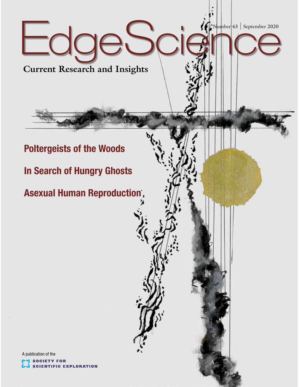EdgeScience Number 43 September 2020

**Current Research and Insights**

## **Poltergeists of the Woods**

**In Search of Hungry Ghosts**

**Asexual Human Reproduction**

A publication of the**SOCIETY FOR SCIENTIFIC EXPLORATION**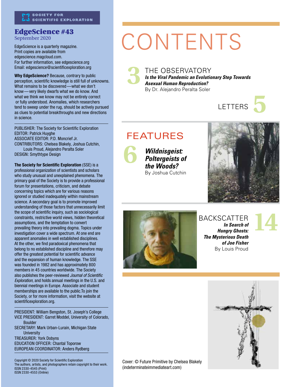#### EdgeScience #43 September 2020

EdgeScience is a quarterly magazine. Print copies are available from edgescience.magcloud.com. For further information, see edgescience.org Email: edgescience@scientificexploration.org

**Why EdgeScience?** Because, contrary to public perception, scientific knowledge is still full of unknowns. What remains to be discovered—what we don't know—very likely dwarfs what we do know. And what we think we know may not be entirely correct or fully understood. Anomalies, which researchers tend to sweep under the rug, should be actively pursued as clues to potential breakthroughs and new directions in science.

PUBLISHER: The Society for Scientific Exploration EDITOR: Patrick Huyghe ASSOCIATE EDITOR: P.D. Moncrief Jr. CONTRIBUTORS: Chelsea Blakely, Joshua Cutchin, Louis Proud, Alejandro Peralta Soler DESIGN: Smythtype Design

**The Society for Scientific Exploration** (SSE) is a professional organization of scientists and scholars who study unusual and unexplained phenomena. The primary goal of the Society is to provide a professional forum for presentations, criticism, and debate concerning topics which are for various reasons ignored or studied inadequately within mainstream science. A secondary goal is to promote improved understanding of those factors that unnecessarily limit the scope of scientific inquiry, such as sociological constraints, restrictive world views, hidden theoretical assumptions, and the temptation to convert prevailing theory into prevailing dogma. Topics under investigation cover a wide spectrum. At one end are apparent anomalies in well established disciplines. At the other, we find paradoxical phenomena that belong to no established discipline and therefore may offer the greatest potential for scientific advance and the expansion of human knowledge. The SSE was founded in 1982 and has approximately 800 members in 45 countries worldwide. The Society also publishes the peer-reviewed *Journal of Scientific Exploration,* and holds annual meetings in the U.S. and biennial meetings in Europe. Associate and student memberships are available to the public.To join the Society, or for more information, visit the website at scientificexploration.org.

PRESIDENT: William Bengston, St. Joseph's College VICE PRESIDENT: Garret Moddel, University of Colorado, Boulder SECRETARY: Mark Urban-Lurain, Michigan State **University** TREASURER: York Dobyns EDUCATION OFFICER: Chantal Toporow EUROPEAN COORDINATOR: Anders Rydberg

Copyright © 2020 Society for Scientific Exploration The authors, artists, and photographers retain copyright to their work. ISSN 2330-4545 (Print) ISSN 2330-4553 (Online)

# CONTENTS

THE OBSERVATORY *Is the Viral Pandemic an Evolutionary Step Towards Asexual Human Reproduction?* By Dr. Alejandro Peralta Soler **3**



## FEATURES

**6**

*Wildnisgeist: Poltergeists of the Woods?* By Joshua Cutchin





#### BACKSCATTER *In Search of Hungry Ghosts: The Mysterious Death of Joe Fisher*  By Louis Proud

**14**



Cover: © Future Primitive by Chelsea Blakely (indeterminateimmediateart.com)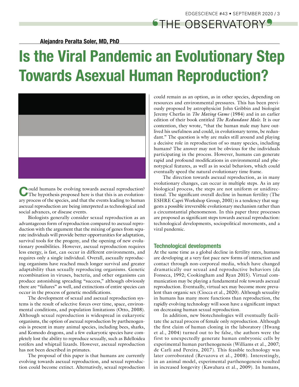^THE OBSERVATORY\_

**Alejandro Peralta Soler, MD, PhD**

## **Is the Viral Pandemic an Evolutionary Step Towards Asexual Human Reproduction?**



**C**ould humans be evolving towards asexual reproduction? The hypothesis proposed here is that this is an evolutionary process of the species, and that the events leading to human asexual reproduction are being interpreted as technological and social advances, or disease events.

Biologists generally consider sexual reproduction as an advantageous form of reproduction compared to asexual reproduction with the argument that the mixing of genes from separate individuals will provide better opportunities for adaptation, survival tools for the progeny, and the opening of new evolutionary possibilities. However, asexual reproduction requires less energy, is fast, can occur in different environments, and requires only a single individual. Overall, asexually reproducing organisms have reached much longer survival and greater adaptability than sexually reproducing organisms. Genetic recombination in viruses, bacteria, and other organisms can produce astonishing spreading "success," although obviously there are "failures" as well, and extinctions of entire species can occur in the process of genetic modifications.

The development of sexual and asexual reproduction systems is the result of selective forces over time, space, environmental conditions, and population limitations (Otto, 2008). Although sexual reproduction is widespread in eukaryotic organisms, the option of asexual reproduction by parthenogenesis is present in many animal species, including bees, sharks, and Komodo dragons, and a few eukaryotic species have completely lost the ability to reproduce sexually, such as Bdelloidea rotifers and whiptail lizards. However, asexual reproduction has not been described in primates.

The proposal of this paper is that humans are currently evolving towards asexual reproduction, and sexual reproduction could become extinct. Alternatively, sexual reproduction could remain as an option, as in other species, depending on resources and environmental pressures. This has been previously proposed by astrophysicist John Gribbin and biologist Jeremy Cherfas in *The Mating Game* (1984) and in an earlier edition of their book entitled *The Redundant Male*. It is our contention, they wrote, "that the human male may have outlived his usefulness and could, in evolutionary terms, be redundant." The question is why are males still around and playing a decisive role in reproduction of so many species, including humans? The answer may not be obvious for the individuals participating in the process. However, humans can generate rapid and profound modifications in environmental and phenotypical features, as well as in social behaviors, which could eventually speed the natural evolutionary time frame.

The direction towards asexual reproduction, as in many evolutionary changes, can occur in multiple steps. As in any biological process, the steps are not uniform or unidirectional. The significant overall decline in human fertility (The ESHRE Capri Workshop Group, 2001) is a tendency that suggests a possible irreversible evolutionary mechanism rather than a circumstantial phenomenon. In this paper three processes are proposed as significant steps towards asexual reproduction: technological developments, sociopolitical movements, and a viral pandemic.

#### **Technological developments**

At the same time as a global decline in fertility rates, humans are developing at a very fast pace new forms of interaction and contact through non-corporeal media, which have changed dramatically our sexual and reproductive behaviors (da Fonseca, 1992; Cookingham and Ryan 2015). Virtual communication may be playing a fundamental role towards asexual reproduction. Eventually, virtual sex may become more prevalent than organic sex (Ciocca et al., 2020). Although sexuality in humans has many more functions than reproduction, the rapidly evolving technology will soon have a significant impact on decreasing human sexual reproduction.

In addition, new biotechnologies will eventually facilitate the actual process of female only reproduction. Although the first claim of human cloning in the laboratory (Hwang et al., 2004) turned out to be false, the authors were the first to unexpectedly generate human embryonic cells by experimental human parthenogenesis (Williams et al., 2007; de Carli and Pereira, 2017). This feasible technology was later corroborated (Revazova et al., 2008). Interestingly, in an animal model, experimental parthenogenesis resulted in increased longevity (Kawahara et al., 2009). In humans,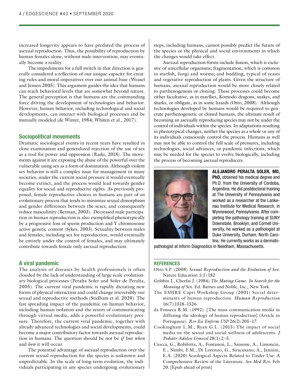increased longevity appears to have predated the process of asexual reproduction. Thus, the possibility of reproduction by human females alone, without male intervention, may eventually become a reality.

The impediments for a full switch in that direction is generally considered a reflection of our unique capacity for creating rules and moral imperatives over our animal base (Weasel and Jensen 2005). This argument guides the idea that humans can reach behavioral levels that are somewhat beyond nature. The general perception is that humans are the commanding force driving the development of technologies and behavior. However, human behavior, including technological and social developments, can interact with biological processes and be mutually modeled (de Winter, 1984; Whiten et al., 2017).

#### **Sociopolitical movements**

Dramatic sociological events in recent years have resulted in close examination and generalized rejection of the use of sex as a tool for power and oppression (Radu, 2018). The movements against it are exposing the abuse of the powerful over the vulnerable using sex as a form of domination. Although violent sex behavior is still a complex issue for management in many societies, under the current social pressure it would eventually become extinct, and the process would lead towards gender equality for social and reproductive rights. As previously proposed, female reproductive choices in humans are part of an evolutionary process that tends to minimize sexual dimorphism and gender differences between the sexes, and consequently reduce masculinity (Berman, 2003). Decreased male participation in human reproduction is also exemplified phenotypically by a progressive loss of sperm production and Y chromosome active genetic content (Sykes, 2003). Sexuality between males and females, including sex for reproduction, would eventually be entirely under the control of females, and may ultimately contribute towards female only asexual reproduction.

#### **A viral pandemic**

The analysis of diseases by health professionals is often clouded by the lack of understanding of large scale evolutionary biological processes (Peralta Soler and Soler de Peralta, 2005). The current viral pandemic is rapidly dictating new forms of physical interaction and could change irreversibly our sexual and reproductive methods (Stidham et al. 2020). The fast spreading impact of the pandemic on human behavior, including human isolation and the resort of communicating through virtual media, adds a powerful evolutionary pressure. Therefore, the current viral pandemic, together with already advanced technologies and social developments, could become a major contributory factor towards asexual reproduction in humans. The question should be not be *if* but *when* and *how* it will occur.

The potential advantage of asexual reproduction over the current sexual reproduction for the species is unknown and unpredictable. In the scale of long-term evolution, the individuals participating in any species undergoing evolutionary steps, including humans, cannot possibly predict the future of the species or the physical and social environments in which the changes would take effect.

Asexual reproduction forms include fission, which is exclusive of unicellular organisms; fragmentation, which is common in starfish, fungi and worms; and budding, typical of yeasts and vegetative reproduction of plants. Given the structure of humans, asexual reproduction would be more closely related to parthenogenesis or cloning. These processes could become either facultative, as in mayflies, Komodo dragons, snakes, and sharks, or obligate, as in some lizards (Otto, 2008). Although technologies developed by humans would be required to generate parthenogenetic or cloned humans, the ultimate result of becoming an asexually reproducing species may not be under the control of individuals within the species. In adaptations resulting in phenotypical changes, neither the species as a whole or any of its individuals consciously control the process. Humans as well may not be able to control the full scale of pressures, including technologies, social advances, or pandemic infections, which may be needed for the species to evolve biologically, including the process of becoming asexual reproducers.



**ALEJANDRO PERALTA SOLER, MD, PhD,** obtained his medical degree and Ph.D. from the University of Cordoba, Argentina. He did postdoctoral training at The University of Pennsylvania and worked as a researcher at the Lankenau Institute for Medical Research, in Wynnewood, Pennsylvania. After completing the pathology training at SUNY Downstate, Brooklyn, and Cornell University, he worked as a pathologist at Duke University, Durham, North Carolina. He currently works as a dermato-

pathologist at Inform Diagnostics in Needham, Massachusetts.

#### **REFERENCES**

- Otto S.P. (2008) *Sexual Reproduction and the Evolution of Sex*. Nature Education 1(1):182.
- Gribbin J., Cherfas J. (1984) *The Mating Game*. *In Search for the Meaning of Sex.* Ed. Barnes and Noble, Inc., New York.
- The ESHRE Capri Workshop Group (2001) Social determinants of human reproduction. *Human Reproduction*  16(7):1518–1526.
- da Fonseca R.M. (1992). [The mass communication media in diffusing the ideology of human reproduction] (Article in Portuguese). *Rev Esc Enferm USP* 26(2):205–17.
- Cookingham L.M., Ryan G.L. (2015) The impact of social media on the sexual and social wellness of adolescents. *J Pediatr Adolesc Gynecol* 28(1):2–5.
- Ciocca, G., Robilotta, A., Fontanesi, L., Sansone, A., Limoncin, E., Nimbi, F.M., Di Lorenzo, G., Siracusano, A., Jannini, E.A. (2020) Sexological Aspects Related to Tinder Use: A Comprehensive Review of the Literature. *Sex Med Rev.* Feb 20. [Epub ahead of print]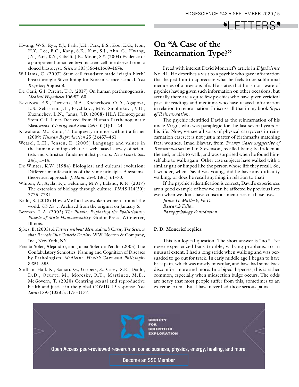## <sup>6</sup>LETTERS<sup>9</sup>

- Hwang, W-S., Ryu, Y.J., Park, J.H., Park, E.S., Koo, E.G., Jeon, H.Y., Lee, B.C., Kang, S.K., Kim, S.J., Ahn, C., Hwang, J.Y., Park, K.Y., Cibelli, J.B., Moon, S.Y. (2004) Evidence of a pluripotent human embryonic stem cell line derived from a cloned blastocyst. *Science* 303(5664):1669–1674.
- Williams, C. (2007) Stem cell fraudster made 'virgin birth' breakthrough: Silver lining for Korean science scandal. *The Register*; August 3.
- De Carli, G.J. Pereira, T.C. (2017) On human parthenogenesis. *Medical Hypotheses* 106:57–60.
- Revazova, E.S., Turovets, N.A., Kochetkova, O.D., Agapova, L.S., Sebastian, J.L., Pryzhkova, M.V., Smolnikova, V.U., Kuzmichev, L.N., Janus, J.D. (2008) HLA Homozygous Stem Cell Lines Derived from Human Parthenogenetic Blastocysts. *Cloning and Stem Cells* 10 (1):11–24.
- Kawahara, M., Kono, T. Longevity in mice without a father (2009) *Human Reproduction* 25 (2):457–461.
- Weasel, L.H., Jensen, E. (2005) Language and values in the human cloning debate: a web-based survey of scientists and Christian fundamentalist pastors. *New Genet*. *Soc.*  24(1):1–14.
- De Winter, K.W. (1984) Biological and cultural evolution: Different manifestations of the same principle. A systemstheoretical approach. *J. Hum*. *Evol.* 13(1): 61–70.
- Whiten, A., Ayala, F.J., Feldman, M.W., Laland, K.N. (2017) The extension of biology through culture. *PNAS* 114(30): 7775–7781.
- Radu, S. (2018) How #MeToo has awoken women around the world. *US News.* Archived from the original on January 6.
- Berman, L.A. (2003) *The Puzzle: Exploring the Evolutionary Puzzle of Male Homosexuality.* Godot Press, Wilmetter, Illinois.
- Sykes, B. (2003) *A Future without Men. Adam's Curse, The Science that Reveals Our Genetic Destiny*. W.W. Norton & Company, Inc., New York, NY.
- Peralta Soler, Alejandro, and Juana Soler de Peralta (2005) The Confabulatory Semiotics: Naming and Cognition of Diseases by Pathologists. *Medicine, Health Care and Philosophy*  8:351–355.
- Stidham Hall, K., Samari, G., Garbers, S., Casey, S.E., Diallo, D.D., Ocurtt, M., Moresky, R.T., Martinez, M.E., McGovern, T. (2020) Centring sexual and reproductive health and justice in the global COVID-19 response. *The Lancet* 395(10231):1175–1177.

### **On "A Case of the Reincarnation Type?"**

I read with interest David Moncrief's article in *EdgeScience*  No. 41. He describes a visit to a psychic who gave information that helped him to appreciate what he feels to be subliminal memories of a previous life. He states that he is not aware of psychics having given such information on other occasions, but actually there are a quite few psychics who have given veridical past-life readings and mediums who have relayed information in relation to reincarnation. I discuss all that in my book *Signs of Reincarnation*.

The psychic identified David as the reincarnation of his uncle Virgil, who was paraplegic for the last several years of his life. Now, we see all sorts of physical carryovers in reincarnation cases; it is not just a matter of birthmarks matching fatal wounds. Imad Elawar, from *Twenty Cases Suggestive of Reincarnation* by Ian Stevenson, recalled being bedridden at the end, unable to walk, and was surprised when he found himself able to walk again. Other case subjects have walked with a similar gait or limped like the person whose life they recall. So, I wonder, when David was young, did he have any difficulty walking, or does he recall anything in relation to that?

If the psychic's identification is correct, David's experiences are a good example of how we can be affected by previous lives even when we don't have conscious memories of those lives.

*James G. Matlock, Ph.D. Research Fellow Parapsychology Foundation*

#### **P. D. Moncrief replies:**

This is a logical question. The short answer is "no," I've never experienced back trouble, walking problems, to an unusual extent. I had a long stride when walking and was persuaded to go out for track. In early middle age I began to have back pain, which was mostly muscular, and have had some back discomfort more and more. In a bipedal species, this is rather common, especially when midsection bulge occurs. The odds are heavy that most people suffer from this, sometimes to an extreme extent. But I have never had those serious pains.

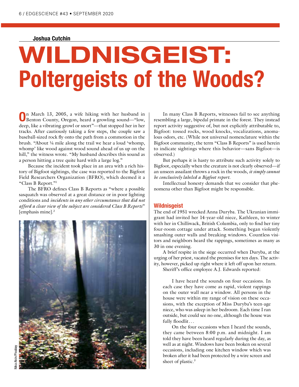#### **Joshua Cutchin**

# **WILDNISGEIST: Poltergeists of the Woods?**

**O**n March 13, 2005, a wife hiking with her husband in Benton County, Oregon, heard a growling sound—"low, deep, like a vibrating growl or snort"—that stopped her in her tracks. After cautiously taking a few steps, the couple saw a baseball-sized rock fly onto the path from a commotion in the brush. "About ¼ mile along the trail we hear a loud 'whomp, whomp' like wood against wood sound ahead of us up on the hill," the witness wrote. "My husband describes this sound as a person hitting a tree quite hard with a large log."

Because the incident took place in an area with a rich history of Bigfoot sightings, the case was reported to the Bigfoot Field Researchers Organization (BFRO), which deemed it a "Class B Report."1

The BFRO defines Class B Reports as "where a possible sasquatch was observed at a great distance or in poor lighting conditions and *incidents in any other circumstance that did not afford a clear view of the subject are considered Class B Reports*" [emphasis mine].2



In many Class B Reports, witnesses fail to see anything resembling a large, bipedal primate in the forest. They instead report activity suggestive of, but not explicitly attributable to, Bigfoot: tossed rocks, wood knocks, vocalizations, anomalous odors, etc. (While not universal nomenclature within the Bigfoot community, the term "Class B Reports" is used herein to indicate sightings where this behavior—sans Bigfoot—is observed.)

But perhaps it is hasty to attribute such activity solely to Bigfoot, especially when the creature is not clearly observed—if an unseen assailant throws a rock in the woods, *it simply cannot be conclusively labeled a Bigfoot report*.

Intellectual honesty demands that we consider that phenomena other than Bigfoot might be responsible.

#### **Wildnisgeist**

The end of 1951 wrecked Anna Duryba. The Ukranian immigrant had invited her 14-year-old niece, Kathleen, to winter with her in Chilliwack, British Columbia, only to find her tiny four-room cottage under attack. Something began violently smashing outer walls and breaking windows. Countless visitors and neighbors heard the rappings, sometimes as many as 30 in one evening.

A brief respite in the siege occurred when Duryba, at the urging of her priest, vacated the premises for ten days. The activity, however, picked up right where it left off upon her return.

Sheriff's office employee A.J. Edwards reported:

I have heard the sounds on four occasions. In each case they have come as rapid, violent rappings on the outer wall near a window. All persons in the house were within my range of vision on these occasions, with the exception of Miss Duryba's teen-age niece, who was asleep in her bedroom. Each time I ran outside, but could see no one, although the house was fully floodlit...

On the four occasions when I heard the sounds, they came between 8:00 p.m. and midnight. I am told they have been heard regularly during the day, as well as at night. Windows have been broken on several occasions, including one kitchen window which was broken after it had been protected by a wire screen and sheet of plastic.<sup>3</sup>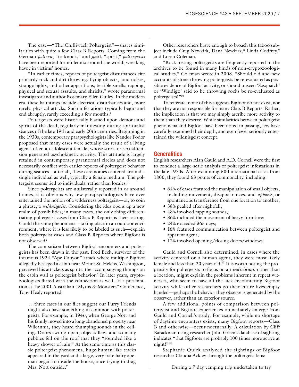The case—"The Chilliwack Poltergeist"—shares similarities with quite a few Class B Reports. Coming from the German *poltern*, "to knock," and *geist*, "spirit," *poltergeists* have been reported for millennia around the world, wreaking havoc in victims' homes.

"In earlier times, reports of poltergeist disturbances cite primarily rock-and dirt-throwing, flying objects, loud noises, strange lights, and other apparitions, terrible smells, rapping, physical and sexual assaults, and shrieks," wrote paranormal investigator and author Rosemary Ellen Guiley. In the modern era, these hauntings include electrical disturbances and, more rarely, physical attacks. Such infestations typically begin and end abruptly, rarely exceeding a few months.<sup>4</sup>

Poltergeists were historically blamed upon demons and spirits of the dead, regularly manifesting during spiritualist séances of the late 19th and early 20th centuries. Beginning in the 1930s, contemporary parapsychologists like Nandor Fodor proposed that many cases were actually the result of a living agent, often an adolescent female, whose stress or sexual tension generated psychokinetic activity. This attitude is largely retained in contemporary paranormal circles and does not necessarily conflict with earlier reports of poltergeist behavior during séances—after all, these ceremonies centered around a single individual as well, typically a female medium. The poltergeist seems tied to individuals, rather than locales.<sup>5</sup>

Since poltergeists are unilaterally reported in or around homes, it is obvious why few parapsychologists have ever entertained the notion of a wilderness poltergeist—or, to coin a phrase, a *wildnisgeist*. Considering the idea opens up a new realm of possibilities; in many cases, the only thing differentiating poltergeist cases from Class B Reports is their setting. Could the same phenomena—taking place in an outdoor environment, where it is less likely to be labeled as such—explain both poltergeist cases and Class B Reports where Bigfoot is not observed?

The comparison between Bigfoot encounters and poltergeists has been drawn in the past. Fred Beck, survivor of the infamous 1924 "Ape Canyon" attack where multiple Bigfoot allegedly besieged a cabin near Mount St. Helens, Washington, perceived his attackers as spirits, the accompanying thumps on the cabin wall as poltergeist behavior.<sup>6</sup> In later years, cryptozoologists flirted with the connection as well. In a presentation at the 2001 Australian "Myths & Monsters" Conference, Tony Healy reported:

...three cases in our files suggest our Furry Friends might also have something in common with poltergeists. For example, in 1946, when George Nott and his family moved into a long-abandoned property near Wilcannia, they heard thumping sounds in the ceiling. Doors swung open, objects flew, and so many pebbles fell on the roof that they "sounded like a heavy shower of rain." At the same time as this classic poltergeist phenomena, huge human-like tracks appeared in the yard and a large, very irate hairy apeman began to invade the house, once trying to drag Mrs. Nott outside.<sup>7</sup>

Other researchers brave enough to broach this taboo subject include Greg Newkirk, Dana Newkirk,<sup>8</sup> Linda Godfrey,<sup>9</sup> and Loren Coleman.

"Rock-tossing poltergeists are frequently reported in the archives to be found in many kinds of non-cryptozoological studies," Coleman wrote in 2008. "Should old and new accounts of stone-throwing poltergeists be re-evaluated as possible evidence of Bigfoot activity, or should unseen 'Sasquatch' or 'Windigo' said to be throwing rocks be re-evaluated as poltergeists?"10

To reiterate: none of this suggests Bigfoot do not exist, nor that they are not responsible for many Class B Reports. Rather, the implication is that we may simply ascribe more activity to them than they deserve. While similarities between poltergeist phenomena and Bigfoot have been noted in passing, few have carefully examined their depth, and even fewer seriously entertained the wildnisgeist concept.

#### **Generalities**

English researchers Alan Gauld and A.D. Cornell were the first to conduct a large-scale analysis of poltergeist infestations in the late 1970s. After examining 500 international cases from 1800, they found 63 points of commonality, including:

- 64% of cases featured the manipulation of small objects, including movement, disappearances, and *apports*, or spontaneous transference from one location to another;
- 58% peaked after nightfall;
- 48% involved rapping sounds;
- 36% included the movement of heavy furniture;
- 24% exceeded 365 days;
- 16% featured communication between poltergeist and apparent agent;
- 12% involved opening/closing doors/windows.

Gauld and Cornell also determined, in cases where the activity centered on a human agent, they were most likely female and less than 20 years old.<sup>11</sup> It is worth noting the propensity for poltergeists to focus on an *individual*, rather than a location, might explain the problems inherent in repeat witnesses, who seem to have all the luck encountering Bigfoot activity while other researchers go their entire lives empty handed—perhaps the behavior they observe is generated by the observer, rather than an exterior source.

A few additional points of comparison between poltergeist and Bigfoot experiences immediately emerge from Gauld and Cornell's study. For example, while no shortage of daytime encounters exists, many Bigfoot reports—Class B and otherwise—occur nocturnally. A calculation by Cliff Barackman using researcher John Green's database of sighting indicates "that Bigfoots are probably 100 times more active at night!"<sup>12</sup>

Stephanie Quick analyzed the sightings of Bigfoot researcher Claudia Ackley through the poltergeist lens: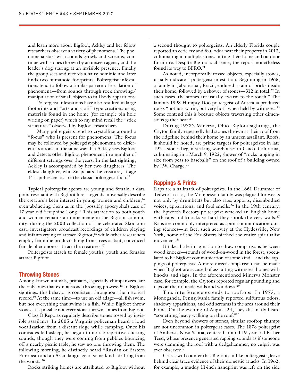and learn more about Bigfoot, Ackley and her fellow researchers observe a variety of phenomena. The phenomena start with sounds growls and screams, continue with stones thrown by an unseen agency and the leader's dog staring at an invisible presence. Finally the group sees and records a hairy hominid and later finds two humanoid footprints. Poltergeist infestations tend to follow a similar pattern of escalation of phenomena—from sounds through rock throwing/ manipulation of small objects to full body apparitions.

Poltergeist infestations have also resulted in large footprints and "arts and craft" type creations using materials found in the home (for example pin hole writing on paper) which to my mind recall the "stick structures" observed by Bigfoot researchers.

Many poltergeists tend to crystallize around a "focus" who is present for phenomena. The focus may be followed by poltergeist phenomena to different locations, in the same way that Ackley sees Bigfoot and detects other Bigfoot phenomena in a number of different settings over the years. In the last sighting, Ackley is accompanied by her two daughters. The eldest daughter, who Snapchats the creature, at age 14 is pubescent as are the classic poltergeist focii.13

Typical poltergeist agents are young and female, a data point resonant with Bigfoot lore. Legends universally describe the creature's keen interest in young women and children,<sup>14</sup> even abducting them as in the (possibly apocryphal) case of 17-year-old Serephine Long.<sup>15</sup> This attraction to both youth and women remains a minor meme in the Bigfoot community: during the 2000 collection of the celebrated Skookum cast, investigators broadcast recordings of children playing and infants crying to attract Bigfoot,<sup>16</sup> while other researchers employ feminine products hung from trees as bait, convinced female pheromones attract the creatures.17

Poltergeists attach to female youths; youth and females attract Bigfoot.

#### **Throwing Stones**

Among known animals, primates, especially chimpanzees, are the only ones that exhibit stone-throwing prowess.<sup>18</sup> In Bigfoot sightings, this behavior is consistent throughout the historical record.<sup>19</sup> At the same time—to use an old adage—all fish swim, but not everything that swims is a fish. While Bigfoot throw stones, it is possible not every stone thrown comes from Bigfoot.

Class B Reports regularly describe stones tossed by invisible assailants. In 2005 a Virginia policeman heard a loud vocalization from a distant ridge while camping. Once his comrades fell asleep, he began to notice repetitive clicking sounds; though they were coming from pebbles bouncing off a nearby picnic table, he saw no one throwing them. The following morning, he distinctly heard "Russian or Eastern European and an Asian language of some kind" drifting from the woods.20

Rocks striking homes are attributed to Bigfoot without

a second thought to poltergeists. An elderly Florida couple reported an eerie cry and foul odor near their property in 2013, culminating in multiple stones hitting their home and outdoor furniture. Despite Bigfoot's absence, the report nonetheless found its way to BFRO.<sup>21</sup>

As noted, incorporeally tossed objects, especially stones, usually indicate a poltergeist infestation. Beginning in 1965, a family in Jaboticabal, Brazil, endured a rain of bricks inside their home, followed by a shower of stones—312 in total.<sup>22</sup> In such cases, the stones are usually "warm to the touch." The famous 1998 Humpty Doo poltergeist of Australia produced rocks "not just warm, but very hot" when held by witnesses.<sup>23</sup> Some contend this is because objects traversing other dimensions gather heat.<sup>24</sup>

During 1978's Minerva, Ohio, Bigfoot sightings, the Cayton family repeatedly had stones thrown at their roof from the ridgeline behind their home by an unseen assailant. Roofs, it should be noted, are prime targets for poltergeists: in late 1921, stones began striking warehouses in Chico, California, culminating in a March 9, 1922, shower of "rocks ranging in size from peas to baseballs" on the roof of a building owned by J.W. Charge.<sup>25</sup>

#### **Rappings & Prints**

Raps are a hallmark of poltergeists. In the 1661 Drummer of Tedworth case, the Mompesson family was plagued for weeks not only by drumbeats but also raps, apports, disembodied voices, apparitions, and foul smells.<sup>26</sup> In the 19th century, the Epworth Rectory poltergeist wracked an English home with raps and knocks so hard they shook the very walls.<sup>27</sup> Raps are commonly interpreted as spirit communication during séances—in fact, such activity at the Hydesville, New York, home of the Fox Sisters birthed the entire spiritualist movement.<sup>28</sup>

It takes little imagination to draw comparisons between wood knocks—sounds of wood-on-wood in the forest, speculated to be Bigfoot communication of some kind—and the rappings of poltergeists. A more direct comparison can be made when Bigfoot are accused of assaulting witnesses' homes with knocks and slaps. In the aforementioned Minerva Monster case, for example, the Caytons reported regular pounding and taps on their outside walls and windows.<sup>29</sup>

This interference extends to rooftops. In 1973, a Monogahela, Pennsylvania family reported sulfurous odors, shadowy apparitions, and odd screams in the area around their home. On the evening of August 24, they distinctly heard "something heavy walking on the roof."30

Even beyond showers of stones, similar rooftop thumps are not uncommon in poltergeist cases. The 1878 poltergeist of Amherst, Nova Scotia, centered around 19-year-old Esther Teed, whose presence generated rapping sounds as if someone were slamming the roof with a sledgehammer; no culprit was ever observed.31

Critics will counter that Bigfoot, unlike poltergeists, leave behind clear trace evidence of their domestic attacks. In 1962, for example, a muddy 11-inch handprint was left on the side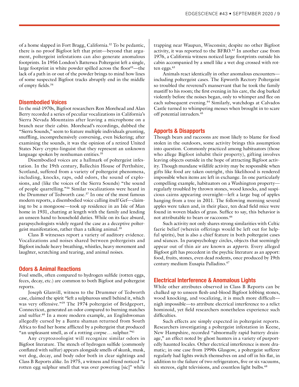of a home slapped in Fort Bragg, California.<sup>32</sup> To be pedantic, there is no proof Bigfoot left that print—beyond that argument, poltergeist infestations can also generate anomalous footprints. In 1956 London's Battersea Poltergeist left a single, large footprint in white powder spilled across the floor<sup>33</sup>—the lack of a path in or out of the powder brings to mind how lines of some suspected Bigfoot tracks abruptly end in the middle of empty fields.34

#### **Disembodied Voices**

In the mid-1970s, Bigfoot researchers Ron Morehead and Alan Berry recorded a series of peculiar vocalizations in California's Sierra Nevada Mountains after leaving a microphone on a branch near their cabin. Morehead's recordings, dubbed the "Sierra Sounds," seem to feature multiple individuals grunting, snuffling, incomprehensively conversing, even bickering; after examining the sounds, it was the opinion of a retired United States Navy crypto-linguist that they represent an unknown language spoken by nonhuman entities.<sup>35</sup>

Disembodied voices are a hallmark of poltergeist infestation. In the 19th century, Ballechin House of Perthshire, Scotland, suffered from a variety of poltergeist phenomena, including, knocks, raps, odd odors, the sound of explosions, and (like the voices of the Sierra Sounds) "the sound of people quarrelling."36 Similar vocalizations were heard in the Drummer of Tedworth case.<sup>37</sup> In one of the most famous modern reports, a disembodied voice calling itself Gef—claiming to be a mongoose—took up residence in an Isle of Man home in 1931, chatting at length with the family and lending an unseen hand to household duties. While on its face absurd, parapsychologists widely regard the case as a deceptive poltergeist manifestation, rather than a talking animal.<sup>38</sup>

Class B witnesses report a variety of auditory evidence. Vocalizations and noises shared between poltergeists and Bigfoot include heavy breathing, whistles, heavy movement and laughter, scratching and tearing, and animal noises.

#### **Odors & Animal Reactions**

Foul smells, often compared to hydrogen sulfide (rotten eggs, feces, decay, etc.) are common to both Bigfoot and poltergeist reports.

Joseph Glanvill, witness to the Drummer of Tedworth case, claimed the spirit "left a sulphurous smell behind it, which was very offensive."<sup>39</sup> The 1974 poltergeist of Bridgeport, Connecticut, generated an odor compared to burning matches and sulfur.40 In a more modern example, an Englishwoman allegedly cursed by a Bantu shaman returned from South Africa to find her home afflicted by a poltergeist that produced "an unpleasant smell, as of a rotting corpse...sulphur."<sup>41</sup>

Any cryptozoologist will recognize similar odors in Bigfoot literature. The stench of hydrogen sulfide (commonly conflated with sulfur) appears alongside smells of skunk, musk, wet dog, decay, and body odor both in clear sightings and Class B Reports alike. In 1975, a witness and friend noticed "a rotten egg sulphur smell that was over powering [sic]" while trapping near Waupun, Wisconsin; despite no other Bigfoot activity, it was reported to the BFRO.<sup>42</sup> In another case from 1976, a California witness noticed large footprints outside his cabin accompanied by a smell like a wet dog crossed with rotten eggs.43

Animals react identically in other anomalous encounters including poltergeist cases. The Epworth Rectory Poltergeist so troubled the reverend's manservant that he took the family mastiff to his room; the first evening in his care, the dog barked violently before the noises began, only to whimper and flee on each subsequent evening.<sup>44</sup> Similarly, watchdogs at Calvados Castle turned to whimpering messes when brought in to scare off potential intruders.45

#### **Apports & Disapports**

Though bears and raccoons are most likely to blame for food stolen in the outdoors, some activity brings this assumption into question. Commonly practiced among habituators (those who allege Bigfoot inhabit their property), gifting involves leaving objects outside in the hope of attracting Bigfoot activity. Though mundane wildlife activity may be responsible when gifts like food are taken outright, this likelihood is rendered impossible when items are left in exchange. In one particularly compelling example, habituators on a Washington property regularly troubled by thrown stones, wood knocks, and suspicious cairns appearing overnight—left a large bag of apples hanging from a tree in 2011. The following morning several apples were taken and, in their place, ten dead field mice were found in woven blades of grass. Suffice to say, this behavior is not attributable to bears or raccoons.46

Such activity not only shares strong similarities with Celtic faerie belief (wherein offerings would be left out for helpful spirits), but is also a chief feature in both poltergeist cases and séances. In parapsychology circles, objects that seemingly appear out of thin air are known as *apports*. Every alleged Bigfoot gift has precedent in the psychic literature as an apport: food, fruits, stones, even dead rodents, once produced by 19th century medium Eusapia Palladino.<sup>47</sup>

#### **Electrical Interference & Anomalous Lights**

While other attributes observed in Class B Reports can be chalked up to unseen flesh-and-blood Bigfoot lobbing stones, wood knocking, and vocalizing, it is much more difficult nigh impossible—to attribute electrical interference to a relict hominoid, yet field researchers nonetheless experience such difficulties.

Such effects are simply expected in poltergeist reports. Researchers investigating a poltergeist infestation in Keene, New Hampshire, recorded "abnormally rapid battery drainage," an effect noted by ghost hunters in a variety of purportedly haunted locales. Other electrical interference is more dramatic; in one case from 1990s Glasgow, a poltergeist sufferer regularly had lights switch themselves on and off in his flat, in addition to the failure of two refrigerators, five or six vacuums, six stereos, eight televisions, and countless light bulbs.<sup>48</sup>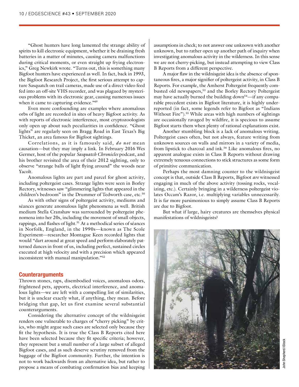"Ghost hunters have long lamented the strange ability of spirits to kill electronic equipment, whether it be draining fresh batteries in a matter of minutes, causing camera malfunctions during critical moments, or even straight up frying electronics," Greg Newkirk wrote. "Turns out, this is something many Bigfoot hunters have experienced as well. In fact, back in 1993, the Bigfoot Research Project, the first serious attempt to capture Sasquatch on trail cameras, made use of a direct video feed fed into an off-site VHS recorder, and was plagued by mysterious problems with its electronic gear, causing numerous issues when it came to capturing evidence."<sup>49</sup>

Even more confounding are examples where anomalous orbs of light are recorded in sites of heavy Bigfoot activity. As with reports of electronic interference, most cryptozoologists only open up about such peculiarities in confidence. "Ghost lights" are regularly seen on Bragg Road in East Texas's Big Thicket, an area famous for Bigfoot sightings.

Correlations, as it is famously said, *do not* mean causation—but they may imply a link. In February 2016 Wes Germer, host of the popular *Sasquatch Chronicles* podcast, and his brother revisited the area of their 2012 sighting, only to observe "strange balls of light flying around" the woods near Yacolt.

Anomalous lights are part and parcel for ghost activity, including poltergeist cases. Strange lights were seen in Borley Rectory, witnesses saw "glimmering lights that appeared in the children's bedroom" in the Drummer of Tedworth case, etc.<sup>50</sup>

As with other signs of poltergeist activity, mediums and séances generate anomalous light phenomena as well. British medium Stella Cranshaw was surrounded by poltergeist phenomena into her 20s, including the movement of small objects, rappings, and flashes of light.<sup>51</sup> At a methodical series of séances in Norfolk, England, in the 1990s—known as The Scole Experiment—researcher Montague Keen recorded lights that would "dart around at great speed and perform elaborately patterned dances in front of us, including perfect, sustained circles executed at high velocity and with a precision which appeared inconsistent with manual manipulation."52

#### **Counterarguments**

Thrown stones, raps, disembodied voices, anomalous odors, frightened pets, apports, electrical interference, and anomalous lights—we are left with a compelling list of similarities, but it is unclear exactly what, if anything, they mean. Before bridging that gap, let us first examine several substantial counterarguments.

Considering the alternative concept of the wildnisgeist renders one vulnerable to charges of "cherry picking" by critics, who might argue such cases are selected only because they fit the hypothesis. It is true the Class B Reports cited here have been selected because they fit specific criteria; however, they represent but a small number of a large subset of alleged Bigfoot cases, and as such deserve scrutiny removed from the baggage of the Bigfoot community. Further, the intention is not to work backwards from an alternative idea, but rather to propose a means of combating confirmation bias and keeping

assumptions in check; to not answer one unknown with another unknown, but to rather open up another path of inquiry when investigating anomalous activity in the wilderness. In this sense we are not cherry-picking, but instead attempting to view Class B Reports from a different perspective.

A major flaw in the wildnisgeist idea is the absence of spontaneous fires, a major signifier of poltergeist activity, in Class B Reports. For example, the Amherst Poltergeist frequently combusted old newspapers,53 and the Borley Rectory Poltergeist may have actually burned the building down<sup>54</sup>—if any comparable precedent exists in Bigfoot literature, it is highly underreported (in fact, some legends refer to Bigfoot as "Indians Without Fire").<sup>55</sup> While areas with high numbers of sightings are occasionally ravaged by wildfire, it is specious to assume Bigfoot starts them when plenty of rational explanations exist.

Another stumbling block is a lack of anomalous writing. Poltergeist cases often, but not always, feature writing from unknown sources on walls and mirrors in a variety of media, from lipstick to charcoal and ink.<sup>56</sup> Like anomalous fires, no apparent analogue exists in Class B Reports without drawing extremely tenuous connections to stick structures as some form of primitive communication.

Perhaps the most damning counter to the wildnisgeist concept is that, outside Class B Reports, Bigfoot *are* witnessed engaging in much of the above activity (tossing rocks, vocalizing, etc.). Certainly bringing in a wilderness poltergeist violates Occam's Razor, i.e. multiplying variables unnecessarily. It is far more parsimonious to simply assume Class B Reports are due to Bigfoot.

But what if large, hairy creatures are themselves physical manifestations of wildnisgeists?

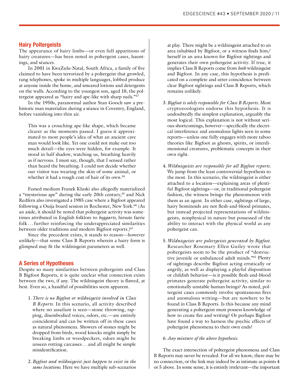#### **Hairy Poltergeists**

The appearance of hairy limbs—or even full apparitions of hairy creatures—has been noted in poltergeist cases, hauntings, and séances.

In 2001 in KwaZulu-Natal, South Africa, a family of five claimed to have been terrorized by a poltergeist that growled, rang telephones, spoke in multiple languages, lobbed produce at anyone inside the home, and smeared lotions and detergents on the walls. According to the youngest son, aged 10, the poltergeist appeared as "hairy and ape-like with sharp nails."57

In the 1950s, paranormal author Stan Gooch saw a prehistoric man materialize during a séance in Coventry, England, before vanishing into thin air.

This was a crouching ape-like shape, which became clearer as the moments passed. I guess it approximated to most people's idea of what an ancient cave man would look like. Yet one could not make out too much detail—the eyes were hidden, for example. It stood in half shadow, watching us, breathing heavily as if nervous. I must say, though, that I sensed rather than heard the breathing. I could not decide whether our visitor was wearing the skin of some animal, or whether it had a rough coat of hair of its own.<sup>58</sup>

Famed medium Franek Kluski also allegedly materialized a "mysterious ape" during the early 20th century,<sup>59</sup> and Nick Redfern also investigated a 1985 case where a Bigfoot appeared following a Ouija board session in Rochester, New York.<sup>60</sup> (As an aside, it should be noted that poltergeist activity was sometimes attributed in English folklore to *boggarts*, hirsute faerie folk . . . further reinforcing the underappreciated similarities between older traditions and modern Bigfoot reports.)<sup>61</sup>

Since the precedent exists, it stands to reason—however unlikely—that some Class B Reports wherein a hairy form is glimpsed may fit the wildnisgeist parameters as well.

#### **A Series of Hypotheses**

Despite so many similarities between poltergeists and Class B Bigfoot Reports, it is quite unclear what connection exists between the two, if any. The wildnisgeist theory is flawed, at best. Even so, a handful of possibilities seem apparent.

- 1.*There is no Bigfoot or wildnisgeist involved in Class B Reports.* In this scenario, all activity described where no assailant is seen—stone throwing, rapping, disembodied voices, odors, etc.—are entirely coincidental and can be written off in these cases as natural phenomena. Showers of stones might be dropped from birds, wood knocks might simply be breaking limbs or woodpeckers, odors might be unseen rotting carcasses... and all might be simple misidentification.
- 2.*Bigfoot and wildnisgeist just happen to exist in the same locations.* Here we have multiple sub-scenarios

at play. There might be a wildnisgeist attached to an area inhabited by Bigfoot, or a witness finds him/ herself in an area known for Bigfoot sightings and generates their own poltergeist activity. If true, it implies Class B Reports come from *both* wildnisgeist and Bigfoot. In any case, this hypothesis is predicated on a complete and utter coincidence between clear Bigfoot sightings and Class B Reports, which remains unlikely.

- 3.*Bigfoot is solely responsible for Class B Reports.* Most cryptozoologists endorse this hypothesis. It is undoubtedly the simplest explanation, arguably the most logical. This explanation is not without serious shortcomings, however—specifically the electrical interference and anomalous lights seen in some reports—unless one fully engages with more taboo theories like Bigfoot as ghosts, spirits, or interdimensional creatures, problematic concepts in their own right.
- 4.*Wildnisgeists are responsible for all Bigfoot reports.* We jump from the least controversial hypothesis to the most. In this scenario, the wildnisgeist is either attached to a location—explaining areas of plentiful Bigfoot sightings—or, in traditional poltergeist fashion, the witness brings the phenomenon with them as an agent. In either case, sightings of large, hairy hominoids are not flesh-and-blood primates, but instead projected representations of wildnisgeists, nonphysical in nature but possessed of the ability to interact with the physical world as any poltergeist can.
- 5.*Wildnisgeists are poltergeists generated by Bigfoot.*  Researcher Rosemary Ellen Guiley wrote that poltergeists seem to be the product of "destructive juvenile or unbalanced adult minds."62 Plenty of sightings describe Bigfoot acting erratically or angrily, as well as displaying a playful disposition or childish behavior—is it possible flesh-and-blood primates generate poltergeist activity, similar to emotionally unstable human beings? As noted, poltergeist cases commonly involve spontaneous fires and anomalous writing—but are nowhere to be found in Class B Reports. Is this because any mind generating a poltergeist must possess knowledge of how to create fire and writing? Or perhaps Bigfoot have found a way to harness the psychic effects of poltergeist phenomena to their own ends?

#### 6.*Any mixture of the above hypotheses.*

The exact intersection of poltergeist phenomena and Class B Reports may never be revealed. For all we know, there may be no connection, or the link may indeed be as intimate as points 4 or 5 above. In some sense, it is entirely irrelevant—the important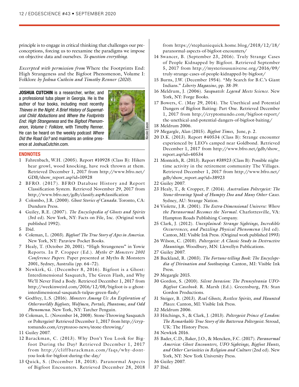principle is to engage in critical thinking that challenges our preconceptions, forcing us to reexamine the paradigms we impose on objective data and ourselves. *To question everything.* 

*Excerpted with permission from* Where the Footprints End: High Strangeness and the Bigfoot Phenomenon, Volume I: Folklore *by Joshua Cuthcin and Timothy Renner (2020).*

**JOSHUA CUTCHIN** is a researcher, writer, and a professional tuba player in Georgia. He is the author of four books, including most recently *Thieves in the Night: A Brief History of Supernatural Child Abductions* and *Where the Footprints End: High Strangeness* and the *Bigfoot Phenomenon, Volume I: Folklore*, with Timothy Renner. He can be heard on the weekly podcast *Where Did the Road Go?* and maintains an online presence at JoshuaCutchin.com.



#### **ENDNOTES**

- 1 Fahrenbach, W.H. (2005). Report #10928 (Class B): Hikers hear growl, wood knocking, have rock thrown at them. Retrieved December 1, 2017 from http://www.bfro.net/ GDB/show\_report.asp?id=10928
- 2 BFRO. (2017). BFRO Database History and Report Classification System. Retrieved November 29, 2017 from http://www.bfro.net/gdb/classify.asp#classification
- 3 Colombo, J.R. (2000). *Ghost Stories of Canada.* Toronto, CA: Dundurn Press.
- 4 Guiley, R.E. (2007). *The Encyclopedia of Ghosts and Spirits*  (3rd ed). New York, NY: Facts on File, Inc. (Original work published 1992).
- 5 Ibid.
- 6 Coleman, L. (2003). *Bigfoot! The True Story of Apes in America.*  New York, NY: Paraview Pocket Books.
- 7 Healy, T. (October 20, 2001). "High Strangeness" in Yowie Reports. In P. Cropper (Ed.). *Myths & Monsters 2001 Conference Papers.* Paper presented at Myths & Monsters 2001, Sydney, Australia (pp. 64–72).
- 8 Newkirk, G. (December 8, 2016). Bigfoot is a Ghost: Interdimensional Sasquatch, The Green Flash, and Why We'll Never Find a Body. Retrieved December 1, 2017 from http://weekinweird.com/2016/12/08/bigfoot-is-a-ghostinterdimensional-sasquatch-tulpas-green-flash/
- 9 Godfrey, L.S. (2016). *Monsters Among Us: An Exploration of Otherworldly Bigfoots, Wolfmen, Portals, Phantoms, and Odd Phenomena.* New York, NY: Tarcher Penguin.
- 10 Coleman, L. (November 14, 2008). Stone-Throwing Sasquatch or Poltergeist? Retrieved December 1, 2017 from http://cryptomundo.com/cryptozoo-news/stone-throwing/
- 11 Guiley 2007.
- 12 Barackman, C. (2013). Why Don't You Look for Bigfoot During the Day? Retrieved December 1, 2017 from http://cliffbarackman.com/faqs/why-dontyou-look-for-bigfoot-during-the-day/
- 13 Quick, S. (December 18, 2018). Paranormal Aspects of Bigfoot Encounters. Retrieved December 28, 2018

from https://stephaniequick.home.blog/2018/12/18/ paranormal-aspects-of-bigfoot-encounters/

- 14 Swancer, B. (September 23, 2016). Truly Strange Cases of People Kidnapped by Bigfoot. Retrieved September 5, 2017 from http://mysteriousuniverse.org/2016/09/ truly-strange-cases-of-people-kidnapped-by-bigfoot/
- 15 Burns, J.W. (December 1954). "My Search for B.C.'s Giant Indians." *Liberty Magazine*, pp. 38-39.
- 16 Meldrum, J. (2006). *Sasquatch: Legend Meets Science.* New York, NY: Forge Books.
- 17 Bowers, C. (May 29, 2014). The Unethical and Potential Dangers of Bigfoot Baiting: Part One. Retrieved December 1, 2017 from http://cryptomundo.com/bigfoot-report/ the-unethical-and-potential-dangers-of-bigfoot-baiting/
- 18 Meldrum 2006.
- 19 Megargle, Alan (2015). *Bigfoot Times*, June, p. 2.
- 20 D.K. (2013). Report #40534 (Class B): Strange encounter experienced by LEO's camped near Goldbond. Retrieved December 1, 2017 from http://www.bfro.net/gdb/show\_ report.asp?id=40534
- 21 Monteith, R. (2013). Report #38923 (Class B): Possible nighttime activity in the retirement community The Villages. Retrieved December 1, 2017 from http://www.bfro.net/ gdb/show\_report.asp?id=38923
- 22 Guiley 2007.
- 23 Healy, T., & Cropper, P. (2014). *Australian Poltergeist: The Stone-throwing Spook of Humpty Doo and Many Other Cases.* Sydney, AU: Strange Nation.
- 24 Violette, J.R. (2001). *The Extra-Dimensional Universe: Where the Paranormal Becomes the Normal.* Charlottesville, VA: Hampton Roads Publishing Company.
- 25 Clark, J. (2012). *Unexplained: Strange Sightings, Incredible Occurrences, and Puzzling Physical Phenomena* (3rd ed). Canton, MI: Visible Ink Press. (Original work published 1993)
- 26 Wilson, C. (2010). *Poltergeist: A Classic Study in Destructive Hauntings.* Woodbury, MN: Llewellyn Publications.
- 27 Guiley 2007.
- 28 Buckland, R. (2003). *The Fortune-telling Book: The Encyclopedia of Divination and Soothsaying.* Canton, MI: Visible Ink Press.
- 29 Megargle 2015.
- 30 Gordon, S. (2010). *Silent Invasion: The Pennsylvania UFO-Bigfoot Casebook.* R. Marsh (Ed.). Greensburg, PA: Stan Gordon Productions.
- 31 Steiger, B. (2013). *Real Ghosts, Restless Spirits, and Haunted Places.* Canton, MI: Visible Ink Press.
- 32 Meldrum 2006.
- 33 Hitchings, S., & Clark, J. (2013). *Poltergeist Prince of London: The Remarkable True Story of the Battersea Poltergeist.* Stroud, UK: The History Press.
- 34 Newkirk 2016.
- 35 Bader, C.D., Baker, J.O., & Mencken, F.C. (2017). *Paranormal America: Ghost Encounters, UFO Sightings, Bigfoot Hunts, and Other Curiosities in Religion and Culture* (2nd ed). New York, NY: New York University Press.

37 Ibid.

<sup>36</sup> Guiley 2007.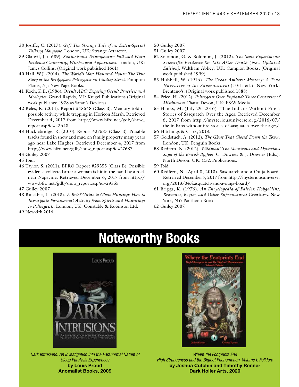- 38 Josiffe, C. (2017). *Gef! The Strange Tale of an Extra-Special Talking Mongoose.* London, UK: Strange Attractor.
- 39 Glanvil, J. (1689). *Sadiucismus Triumphatus: Full and Plain Evidence Concerning Witches and Apparitions.* London, UK: James Collins. (Original work published 1661)
- 40 Hall, W.J. (2014). *The World's Most Haunted House: The True Story of the Bridgeport Poltergeist on Lindley Street.* Pompton Plains, NJ: New Page Books.
- 41 Koch, K.E. (1986). O*ccult ABC: Exposing Occult Practices and Ideologies.* Grand Rapids, MI: Kregel Publications (Original work published 1978 as Satan's Devices)
- 42 Reles, R. (2014). Report #43648 (Class B): Memory told of possible activity while trapping in Horicon Marsh. Retrieved December 4, 2017 from http://www.bfro.net/gdb/show\_ report.asp?id=43648
- 43 Hucklebridge, R. (2010). Report #27687 (Class B): Possible tracks found in snow and mud on family property many years ago near Lake Hughes. Retrieved December 4, 2017 from http://www.bfro.net/gdb/show\_report.asp?id=27687

44 Guiley 2007.

- 45 Ibid.
- 46 Taylor, S. (2011). BFRO Report #29355 (Class B): Possible evidence collected after a woman is hit in the hand by a rock near Napavine. Retrieved December 6, 2017 from http:// www.bfro.net/gdb/show\_report.asp?id=29355

47 Guiley 2007.

48 Ruickbie, L. (2013). *A Brief Guide to Ghost Hunting: How to Investigate Paranormal Activity from Spirits and Hauntings to Poltergeists.* London, UK: Constable & Robinson Ltd.

- 50 Guiley 2007.
- 51 Guiley 2007.
- 52 Solomon, G, & Solomon, J. (2012). *The Scole Experiment: Scientific Evidence for Life After Death (New Updated Edition).* Waltham Abbey, UK: Campion Books. (Original work published 1999)
- 53 Hubbell, W. (1916). *The Great Amherst Mystery: A True Narrative of the Supernatural* (10th ed.). New York: Brentano's. (Original work published 1888)
- 54 Price, H. (2012). *Poltergeist Over England: Three Centuries of Mischievous Ghosts.* Devon, UK: F&W Media.
- 55 Hanks, M. (July 29, 2016). "The Indians Without Fire": Stories of Sasquatch Over the Ages. Retrieved December 6, 2017 from http://mysteriousuniverse.org/2016/07/ the-indians-without-fire-stories-of-sasquatch-over-the-ages/
- 56 Hitchings & Clark, 2013.
- 57 Goldstuck, A. (2012). *The Ghost That Closed Down the Town.*  London, UK: Penguin Books.
- 58 Redfern, N. (2012). *Wildman! The Monstrous and Mysterious Saga of the British Bigfoot.* C. Downes & J. Downes (Eds.). North Devon, UK: CFZ Publications.
- 59 Ibid.
- 60 Redfern, N. (April 8, 2013). Sasquatch and a Ouija-board. Retreived December 7, 2017 from http://mysteriousuniverse. org/2013/04/sasquatch-and-a-ouija-board/
- 61 Briggs, K. (1976). *An Encyclopedia of Fairies: Hobgoblins, Brownies, Bogies, and Other Supernatural Creatures.* New York, NY: Pantheon Books.
- 62 Guiley 2007.

49 Newkirk 2016.

## **Noteworthy Books**



*Dark Intrusions: An Investigation into the Paranormal Nature of Sleep Paralysis Experiences* **by Louis Proud Anomalist Books, 2009**



*Where the Footprints End High Strangeness and the Bigfoot Phenomenon, Volume I: Folklore* **by Joshua Cutchin and Timothy Renner Dark Holler Arts, 2020**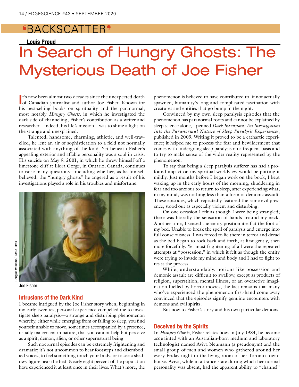## ^BACKSCATTER\_

#### **Louis Proud**

# In Search of Hungry Ghosts: The Mysterious Death of Joe Fisher

**I**<sup>t</sup>'s now been almost two decades since the unexpected death of Canadian journalist and author Joe Fisher. Known for t's now been almost two decades since the unexpected death his best-selling books on spirituality and the paranormal, most notably *Hungry Ghosts*, in which he investigated the dark side of channeling, Fisher's contribution as a writer and researcher—indeed, his life's mission—was to shine a light on the strange and unexplained.

Talented, handsome, charming, athletic, and well-travelled, he lent an air of sophistication to a field not normally associated with anything of the kind. Yet beneath Fisher's appealing exterior and affable personality was a soul in crisis. His suicide on May 9, 2001, in which he threw himself off a limestone cliff at Elora Gorge, in Ontario, Canada, continues to raise many questions—including whether, as he himself believed, the "hungry ghosts" he angered as a result of his investigations played a role in his troubles and misfortune.



Joe Fisher

#### **Intrusions of the Dark Kind**

I became intrigued by the Joe Fisher story when, beginning in my early twenties, personal experience compelled me to investigate sleep paralysis—a strange and disturbing phenomenon whereby, either while emerging from or falling to sleep, you find yourself unable to move, sometimes accompanied by a presence, usually malevolent in nature, that you cannot help but perceive as a spirit, demon, alien, or other supernatural being.

Such nocturnal episodes can be extremely frightening and dramatic; it's not uncommon to hear footsteps and disembodied voices, to feel something touch your body, or to see a shadowy figure near the bed. Nearly eight percent of the population have experienced it at least once in their lives. What's more, the phenomenon is believed to have contributed to, if not actually spawned, humanity's long and complicated fascination with creatures and entities that go bump in the night.

Convinced by my own sleep paralysis episodes that the phenomenon has paranormal roots and cannot be explained by sleep science alone, I penned *Dark Intrusions: An Investigation into the Paranormal Nature of Sleep Paralysis Experiences*, published in 2009. Writing it proved to be a cathartic experience; it helped me to process the fear and bewilderment that comes with undergoing sleep paralysis on a frequent basis and to try to make sense of the wider reality represented by the phenomenon.

To say that being a sleep paralysis sufferer has had a profound impact on my spiritual worldview would be putting it mildly. Just months before I began work on the book, I kept waking up in the early hours of the morning, shuddering in fear and too anxious to return to sleep, after experiencing what, in my mind, was nothing less than a form of demonic assault. These episodes, which repeatedly featured the same evil presence, stood out as especially violent and disturbing.

On one occasion I felt as though I were being strangled; there was literally the sensation of hands around my neck. Another time, I sensed the entity position itself at the foot of my bed. Unable to break the spell of paralysis and emerge into full consciousness, I was forced to lie there in terror and dread as the bed began to rock back and forth, at first gently, then more forcefully. Yet most frightening of all were the repeated attempts at "possession," in which it felt as though the entity were trying to invade my mind and body and I had to fight to resist the process.

While, understandably, notions like possession and demonic assault are difficult to swallow, except as products of religion, superstition, mental illness, or an overactive imagination fuelled by horror movies, the fact remains that many who've experienced the phenomenon first-hand come away convinced that the episodes signify genuine encounters with demons and evil spirits.

But now to Fisher's story and his own particular demons.

#### **Deceived by the Spirits**

In *Hungry Ghosts*, Fisher relates how, in July 1984, he became acquainted with an Australian-born medium and laboratory technologist named Aviva Neumann (a pseudonym) and the small group of men and women who gathered around her every Friday night in the living room of her Toronto townhouse. Aviva, while in a trance state during which her normal personality was absent, had the apparent ability to "channel"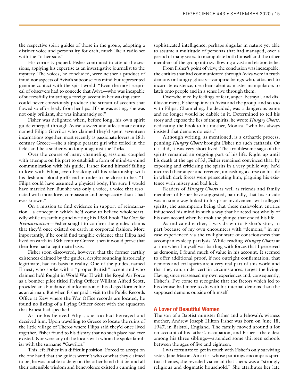the respective spirit guides of those in the group, adopting a distinct voice and personality for each, much like a radio set with the "other side."

His curiosity piqued, Fisher continued to attend the sessions, applying his expertise as an investigative journalist to the mystery. The voices, he concluded, were neither a product of fraud nor aspects of Aviva's subconscious mind but represented genuine contact with the spirit world. "Even the most sceptical of observers had to concede that Aviva—who was incapable of successfully imitating a foreign accent in her waking state could never consciously produce the stream of accents that flowed so effortlessly from her lips...If she was acting, she was not only brilliant, she was inhumanely so!"

Fisher was delighted when, before long, his own spirit guide emerged through Aviva: a sweet and affectionate entity named Filipa Gavrilos who claimed they'd spent seventeen incarnations together, most recently as passionate lovers in 18th century Greece—she a simple peasant girl who toiled in the fields and he a soldier who fought against the Turks.

Over the course of many channeling sessions, coupled with attempts on his part to establish a form of mind-to-mind communication with his guide, Fisher found himself falling in love with Filipa, even breaking off his relationship with his flesh-and-blood girlfriend in order to be closer to her. "If Filipa could have assumed a physical body, I'm sure I would have married her. But she was only a voice, a voice that resonated with more love, compassion and perspicacity than I had ever known."

On a mission to find evidence in support of reincarnation—a concept in which he'd come to believe wholeheartedly while researching and writing his 1984 book *The Case for Reincarnation*—Fisher sought to confirm the guides' claims that they'd once existed on earth in corporeal fashion. More importantly, if he could find tangible evidence that Filipa had lived on earth in 18th century Greece, then it would prove that their love had a legitimate basis.

Fisher soon discovered, however, that the former earthly existences claimed by the guides, despite sounding historically legitimate, had no basis in reality. One of the guides, named Ernest, who spoke with a "proper British" accent and who claimed he'd fought in World War II with the Royal Air Force as a bomber pilot titled Flying Officer William Alfred Scott, provided an abundance of information of his alleged former life as an airman. But when Fisher paid a visit to the Public Records Office at Kew where the War Office records are located, he found no listing of a Flying Officer Scott with the squadron that Ernest had specified.

As for his beloved Filipa, she too had betrayed and deceived him. Upon travelling to Greece to locate the ruins of the little village of Theros where Filipa said they'd once lived together, Fisher found to his dismay that no such place had ever existed. Nor were any of the locals with whom he spoke familiar with the surname "Gavrilos."

This left Fisher in a difficult position. Forced to accept on the one hand that the guides weren't who or what they claimed to be, he was unable to deny on the other hand that behind all their ostensible wisdom and benevolence existed a cunning and sophisticated intelligence, perhaps singular in nature yet able to assume a multitude of personas that had managed, over a period of many years, to manipulate both himself and the other members of the group into swallowing a vast and elaborate lie.

From Fisher's point of view, the conclusion was inescapable: the entities that had communicated through Aviva were in truth demons or hungry ghosts—vampiric beings who, attached to incarnate existence, use their talent as master manipulators to latch onto people and in a sense live through them.

Overwhelmed by feelings of fear, anger, betrayal, and disillusionment, Fisher split with Aviva and the group, and so too with Filipa. Channeling, he decided, was a dangerous game and no longer would he dabble in it. Determined to tell his story and expose the lies of the spirits, he wrote *Hungry Ghosts*, dedicating the book to his mother, Monica, "who has always insisted that demons do exist."

Although writing, as mentioned, is a cathartic process, penning *Hungry Ghosts* brought Fisher no such catharsis. Or if it did, it was very short-lived. The troublesome saga of the spirits remained an ongoing part of his life. Right up until his death at the age of 53, Fisher remained convinced that, by exposing and criticising the spirits in a very public way, he'd incurred their anger and revenge, unleashing a curse on his life in which dark forces were persecuting him, plaguing his existence with misery and bad luck.

Readers of *Hungry Ghosts* as well as friends and family members of Fisher have suggested, naturally, that his suicide was in some way linked to his prior involvement with alleged spirits, the assumption being that these malevolent entities influenced his mind in such a way that he acted not wholly of his own accord when he took the plunge that ended his life.

As indicated earlier, I was drawn to Fisher's story in part because of my own encounters with "demons," in my case experienced via the twilight state of consciousness that accompanies sleep paralysis. While reading *Hungry Ghosts* at a time when I myself was battling with forces that I perceived as demonic, I found much of value in his account. It seemed to offer additional proof, if not outright confirmation, that demons and evil spirits are a very real part of this world and that they can, under certain circumstances, target the living. Having since reassessed my own experiences and, consequently, Fisher's, I've come to recognise that the factors which led to his demise had more to do with his internal demons than the supposed demons outside of himself.

#### **A Lover of Beautiful Women**

The son of a Baptist minister father and a Jehovah's witness mother, Andrew Joseph Hilton Fisher was born on June 18, 1947, in Bristol, England. The family moved around a lot on account of his father's occupation, and Fisher—the eldest among his three siblings—attended some thirteen schools between the ages of five and eighteen.

I was fortunate to get in touch with Fisher's only surviving sister, Jane Mason. An artist whose paintings encompass spiritual themes, she revealed via email that theirs was a "strongly religious and dogmatic household." She attributes her late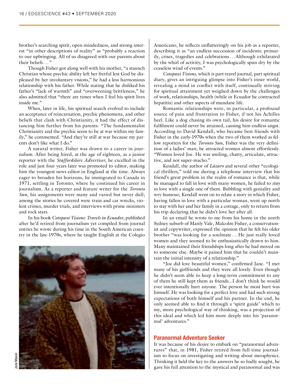brother's searching spirit, open-mindedness, and strong interest "in other descriptions of reality" as "probably a reaction to our upbringing. All of us disagreed with our parents about their beliefs..."

Though Fisher got along well with his mother, "a staunch Christian whose psychic ability left her fretful lest God be displeased by her involuntary visions," he had a less harmonious relationship with his father. While stating that he disliked his father's "lack of warmth" and "overweening brittleness," he also admitted that "there are times when I feel his spirit lives inside me."

When, later in life, his spiritual search evolved to include an acceptance of reincarnation, psychic phenomena, and other beliefs that clash with Christianity, it had the effect of distancing him further from his parents. "The fundamentalist Christianity and the psychic seem to be at war within my family," he commented. "And they're still at war because my parents don't like what I do."

A natural writer, Fisher was drawn to a career in journalism. After being hired, at the age of eighteen, as a junior reporter with the *Staffordshire Advertiser*, he excelled in the role and just four years later was promoted to editor, making him the youngest news editor in England at the time. Always eager to broaden his horizons, he immigrated to Canada in 1971, settling in Toronto, where he continued his career in journalism. As a reporter and feature writer for the *Toronto Sun*, his assignments were many and varied but never dull; among the stories he covered were train and car wrecks, violent crimes, murder trials, and interviews with prime ministers and rock stars.

In his book *Cotopaxi Visions: Travels in Ecuador*, published after he'd retired from journalism yet compiled from journal entries he wrote during his time in the South American country in the late-1970s, where he taught English at the Colegio



Americano, he reflects unflatteringly on his job as a reporter, describing it as "an endless succession of incidents: primarily, crises, tragedies and celebrations...Although exhilarated by the whirl of activity, I was psychologically spun dry by the ceaseless wind of events."

*Cotopaxi Visions*, which is part-travel journal, part spiritual diary, gives an intriguing glimpse into Fisher's inner world, revealing a mind in conflict with itself, continually striving for spiritual attainment yet weighed down by the challenges of work, relationships, health (while in Ecuador he contracted hepatitis) and other aspects of mundane life.

Romantic relationships were, in particular, a profound source of pain and frustration to Fisher, if not his Achilles heel. Like a dog chasing its own tail, his desire for romantic fulfilment could never be attained, causing him endless angst. According to David Kendall, who became best friends with Fisher in the early-1970s when the two of them worked as fellow reporters for the *Toronto Sun*, Fisher was the very definition of a ladies' man; he attracted women almost effortlessly. "Women loved Joe. He was smiling, chatty, articulate, attractive, and not super-macho."

Kendall, the author of *Lázaro* and several other "ecological thrillers," told me during a telephone interview that his friend's great problem in the realm of romance is that, while he managed to fall in love with many women, he failed to *stay* in love with a single one of them. Bubbling with geniality and wry humour, Kendall went on to relate a story in which Fisher, having fallen in love with a particular woman, went up north to stay with her and her family in a cottage, only to return from his trip declaring that he didn't love her after all.

In an email he wrote to me from his home in the north Sydney suburb of Manly Vale, Malcolm Fisher, a conservationist and copywriter, expressed the opinion that he felt his older brother "was looking for a soulmate . . . He just really loved women and they seemed to be enthusiastically drawn to him. Many maintained their friendships long after he had moved on to someone else. Maybe it pained him that he couldn't maintain the initial intensity of a relationship."

"Joe did love beautiful women," confirmed Jane. "I met many of his girlfriends and they were all lovely. Even though he didn't seem able to keep a long-term commitment to any of them he still kept them as friends...I don't think he would ever intentionally hurt anyone. The person he most hurt was himself. He was looking for a perfect love and had such strong expectations of both himself and his partner. In the end, he only seemed able to find it through a 'spirit guide' which to my, more psychological way of thinking, was a projection of this ideal and which led him more deeply into his 'paranormal' adventures."

#### **Paranormal Adventure Seeker**

It was because of his desire to embark on "paranormal adventures" that, in 1981, Fisher retired from full-time journalism to focus on investigating and writing about metaphysics. Thinking it held the key to the answers he so badly sought, he gave his full attention to the mystical and paranormal and was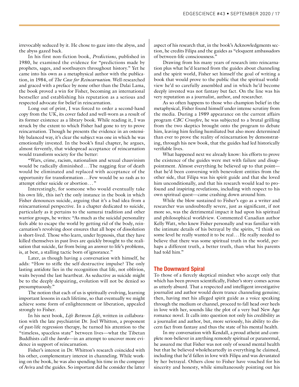irrevocably seduced by it. He chose to gaze into the abyss, and the abyss gazed back.

In his first non-fiction book, *Predictions*, published in 1980, he examined the evidence for "predictions made by prophets, sages, and soothsayers throughout history." Yet he came into his own as a metaphysical author with the publication, in 1984, of *The Case for Reincarnation*. Well-researched and graced with a preface by none other than the Dalai Lama, the book proved a win for Fisher, becoming an international bestseller and establishing his reputation as a serious and respected advocate for belief in reincarnation.

Long out of print, I was forced to order a second-hand copy from the UK, its cover faded and well-worn as a result of its former existence as a library book. While reading it, I was struck by the extent to which Fisher had gone to try to prove reincarnation. Though he presents the evidence in an ostensibly balanced way, it's clear the subject was one in which he was emotionally invested. In the book's final chapter, he argues, almost fervently, that widespread acceptance of reincarnation would transform society for the better:

"Wars, crime, racism, nationalism and sexual chauvinism would be radically diminished ... The nagging fear of death would be eliminated and replaced with acceptance of the opportunity for transformation...Few would be so rash as to attempt either suicide or abortion..."

Interestingly, for someone who would eventually take his own life, this isn't the only instance in the book in which Fisher denounces suicide, arguing that it's a bad idea from a reincarnational perspective. In a chapter dedicated to suicide, particularly as it pertains to the samurai tradition and other warrior groups, he writes: "As much as the suicidal personality feels able to escape the world by getting rid of the body, reincarnation's revolving door ensures that all hope of dissolution is short-lived. Those who learn, under hypnosis, that they have killed themselves in past lives are quickly brought to the realisation that suicide, far from being an answer to life's problems, is, at best, a stalling tactic born of ignorance."

Later, as though having a conversation with himself, he adds: "How to stifle the self-destructive impulse? The only lasting antidote lies in the recognition that life, not oblivion, waits beyond the last heartbeat. As seductive as suicide might be to the deeply despairing, evolution will not be denied so presumptuously."

The notion that each of us is spiritually evolving, learning important lessons in each lifetime, so that eventually we might achieve some form of enlightenment or liberation, appealed strongly to Fisher.

In his next book, *Life Between Life*, written in collaboration with the late psychiatrist Dr. Joel Whitton, a proponent of past-life regression therapy, he turned his attention to the "timeless, spaceless state" between lives—what the Tibetan Buddhists call the *bardo*—in an attempt to uncover more evidence in support of reincarnation.

Fisher's interest in Dr. Whitton's research coincided with his other, complementary interest in channeling. While working on the book, he was also spending his time in the company of Aviva and the guides. So important did he consider the latter

aspect of his research that, in the book's Acknowledgments section, he credits Filipa and the guides as "eloquent ambassadors of between-life consciousness."

Drawing from his many years of research into reincarnation plus what he'd learned from the guides about channeling and the spirit world, Fisher set himself the goal of writing a book that would prove to the public that the spiritual worldview he'd so carefully assembled and in which he'd become deeply invested was not fantasy but fact. On the line was his very reputation as a journalist, author, and researcher.

As so often happens to those who champion belief in the metaphysical, Fisher found himself under intense scrutiny from the media. During a 1989 appearance on the current affairs program *CBC Crossfire*, he was subjected to a brutal grilling from the two skeptics brought onto the program to debate him, leaving him feeling humiliated but also more determined than ever to prove the reality of reincarnation by demonstrating, through his new book, that the guides had led historically verifiable lives.

What happened next we already know: his efforts to prove the existence of the guides were met with failure and disappointment. Almost everything he believed up to that point that he'd been conversing with benevolent entities from the other side, that Filipa was his spirit guide and that she loved him unconditionally, and that his research would lead to profound and inspiring revelations, including with respect to his own spiritual quest—came crashing down around him.

While the blow sustained to Fisher's ego as a writer and researcher was undoubtedly severe, just as significant, if not more so, was the detrimental impact it had upon his spiritual and philosophical worldview. Commented Canadian author Kelly Watt, who knew Fisher personally and was familiar with the intimate details of his betrayal by the spirits, "I think on some level he really wanted it to be real...He really needed to believe that there was some spiritual truth in the world, perhaps a different truth, a better truth, than what his parents had told him."

#### **The Downward Spiral**

To those of a fiercely skeptical mindset who accept only that which has been proven scientifically, Fisher's story comes across as utterly absurd. That a respected and intelligent investigative journalist and author would deem trance channeling genuine; then, having met his alleged spirit guide as a voice speaking through the medium or channel, proceed to fall head over heels in love with her, sounds like the plot of a very bad New Age romance novel. It calls into question not only his credibility as a journalist and author, but, more seriously, his ability to discern fact from fantasy and thus the state of his mental health.

In my conversation with Kendall, a proud atheist and complete non-believer in anything remotely spiritual or paranormal, he assured me that Fisher was not only of sound mental health but that he believed wholeheartedly in everything he claimed, including that he'd fallen in love with Filipa and was devastated by her betrayal. Others close to Fisher have vouched for his sincerity and honesty, while simultaneously pointing out his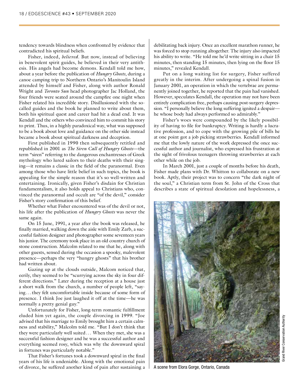tendency towards blindness when confronted by evidence that contradicted his spiritual beliefs.

Fisher, indeed, *believed*. But now, instead of believing in benevolent spirit guides, he believed in their very antithesis. His angels had become demons. Kendall told me how, about a year before the publication of *Hungry Ghosts*, during a canoe camping trip to Northern Ontario's Manitoulin Island attended by himself and Fisher, along with author Ronald Wright and *Toronto Sun* head photographer Jac Holland, the four friends were seated around the campfire one night when Fisher related his incredible story. Disillusioned with the socalled guides and the book he planned to write about them, both his spiritual quest and career had hit a dead end. It was Kendall and the others who convinced him to commit his story to print. Thus, in a highly paradoxical way, what was supposed to be a book about love and guidance on the other side instead became a book about spiritual darkness and deception.

First published in 1990 then subsequently retitled and republished in 2001 as *The Siren Call of Hungry Ghosts*—the term "siren" referring to the dangerous enchantresses of Greek mythology who lured sailors to their deaths with their singing—it remains a classic in the field of the paranormal. Even among those who have little belief in such topics, the book is appealing for the simple reason that it's so well-written and entertaining. Ironically, given Fisher's disdain for Christian fundamentalism, it also holds appeal to Christians who, convinced the paranormal and occult are "of the devil," consider Fisher's story confirmation of this belief.

Whether what Fisher encountered was of the devil or not, his life after the publication of *Hungry Ghosts* was never the same again.

On 15 June, 1991, a year after the book was released, he finally married, walking down the aisle with Emily Zarb, a successful fashion designer and photographer some seventeen years his junior. The ceremony took place in an old country church of stone construction. Malcolm related to me that he, along with other guests, sensed during the occasion a spooky, malevolent presence—perhaps the very "hungry ghosts" that his brother had written about.

Gazing up at the clouds outside, Malcom noticed that, eerily, they seemed to be "scurrying across the sky in four different directions." Later during the reception at a house just a short walk from the church, a number of people left, "saying...they felt uncomfortable inside because of some form of presence. I think Joe just laughed it off at the time—he was normally a pretty genial guy."

Unfortunately for Fisher, long-term romantic fulfillment eluded him yet again, the couple divorcing in 1999. "Joe advised that his marriage to Emily brought him a certain calmness and stability," Malcolm told me. "But I don't think that they were particularly well suited... When they met, she was a successful fashion designer and he was a successful author and everything seemed rosy, which was why the downward spiral in fortunes was particularly notable."

That Fisher's fortunes took a downward spiral in the final years of his life is undeniable. Along with the emotional pain of divorce, he suffered another kind of pain after sustaining  $a \perp A$  scene from Elora Gorge, Ontario, Canada

debilitating back injury. Once an excellent marathon runner, he was forced to stop running altogether. The injury also impacted his ability to write. "He told me he'd write sitting in a chair 15 minutes, then standing 15 minutes, then lying on the floor 15 minutes," revealed Kendall.

Put on a long waiting list for surgery, Fisher suffered greatly in the interim. After undergoing a spinal fusion in January 2001, an operation in which the vertebrae are permanently joined together, he reported that the pain had vanished. However, speculates Kendall, the operation may not have been entirely complication free, perhaps causing post-surgery depression. "I personally believe the long suffering ignited a despair he whose body had always performed so admirably."

Fisher's woes were compounded by the likely possibility of having to file for bankruptcy. Writing is hardly a lucrative profession, and to cope with the growing pile of bills he at one point got a job picking strawberries. Kendall informed me that the lowly nature of the work depressed the once successful author and journalist, who expressed his frustration at the sight of frivolous teenagers throwing strawberries at each other while on the job.

In March 2001, just a couple of months before his death, Fisher made plans with Dr. Whitton to collaborate on a new book. Aptly, their project was to concern "the dark night of the soul," a Christian term from St. John of the Cross that describes a state of spiritual desolation and hopelessness, a

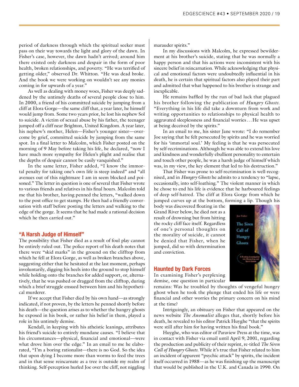period of darkness through which the spiritual seeker must pass on their way towards the light and glory of the dawn. In Fisher's case, however, the dawn hadn't arrived; around him there existed only darkness and despair in the form of poor health, broken relationships, and poverty. "He was terrified of getting older," observed Dr. Whitton. "He was dead broke. And the book we were working on wouldn't see any monies coming in for upwards of a year."

As well as dealing with money woes, Fisher was deeply saddened by the untimely deaths of several people close to him. In 2000, a friend of his committed suicide by jumping from a cliff at Elora Gorge—the same cliff that, a year later, he himself would jump from. Some two years prior, he lost his nephew Sol to suicide. A victim of sexual abuse by his father, the teenager jumped off a cliff near Brighton, United Kingdom. A year later, his nephew's mother, Helen—Fisher's younger sister—overcome by grief, committed suicide by jumping from the same spot. In a final letter to Malcolm, which Fisher posted on the morning of 9 May before taking his life, he declared, "now I have much more sympathy for Helen's plight and realise that the depths of despair cannot be easily vanquished."

In the same letter, Fisher added, "I know the immortal penalty for taking one's own life is steep indeed" and "all avenues out of this nightmare I am in seem blocked and poisoned." The letter in question is one of several that Fisher wrote to various friends and relatives in his final hours. Malcolm told me that his brother, having penned the letters, "walked down to the post office to get stamps. He then had a friendly conversation with staff before posting the letters and walking to the edge of the gorge. It seems that he had made a rational decision which he then carried out."

#### **"A Harsh Judge of Himself"**

The possibility that Fisher died as a result of foul play cannot be entirely ruled out. The police report of his death notes that there were "skid marks" in the ground on the clifftop from which he fell at Elora Gorge, as well as broken branches above, suggesting either that he hesitated at the last moment, perhaps involuntarily, digging his heels into the ground to stop himself while holding onto the branches for added support, or, alternatively, that he was pushed or dragged from the clifftop, during which a brief struggle ensued between him and his hypothetical murderer.

If we accept that Fisher died by his own hand—as strongly indicated, if not proven, by the letters he penned shortly before his death—the question arises as to whether the hungry ghosts he exposed in his book, or rather his belief in them, played a role in his untimely demise.

Kendall, in keeping with his atheistic leanings, attributes his friend's suicide to entirely mundane causes. "I believe that his circumstances—physical, financial and emotional—were what drove him over the edge." In an email to me he elaborated, "I'm a boring rationalist—there is no God. So the idea that upon dying I become more than worms to feed the trees and in that sense reincarnate as a tree is outside my realm of thinking. Self-perception hurled Joe over the cliff, not niggling marauder spirits."

In my discussions with Malcolm, he expressed bewilderment at his brother's suicide, stating that he was normally a happy person and that his actions were inconsistent with his sincere belief in reincarnation. While acknowledging that physical and emotional factors were undoubtedly influential in his death, he is certain that spiritual factors also played their part and admitted that what happened to his brother is strange and inexplicable.

He remains baffled by the run of bad luck that plagued his brother following the publication of *Hungry Ghosts*. "Everything in his life did take a downturn from work and writing opportunities to relationships to physical health to aggravated sleeplessness and financial worries...He was upset at being deceived by the spirits."

In an email to me, his sister Jane wrote: "I do remember Joe saying that he felt persecuted by spirits and he was worried for his 'immortal soul.' My feeling is that he was persecuted by self-recriminations. Although he was able to extend his love and kindness and wonderfully ebullient personality to entertain and touch other people, he was a harsh judge of himself which was, in my view, the key element that led to his destruction."

That Fisher was prone to self-recrimination is well-recognised, and in *Hungry Ghosts* he admits to a tendency to "lapse, occasionally, into self-loathing." The violent manner in which he chose to end his life is evidence that he harboured feelings of deep self-hatred. The cliff at Elora Gorge from which he jumped curves up at the bottom, forming a lip. Though his

body was discovered floating in the Grand River below, he died not as a result of drowning but from hitting the rocky cliff face itself. Regardless of one's personal thoughts on the morality of suicide, it cannot be denied that Fisher, when he jumped, did so with determination and conviction.



#### **Haunted by Dark Forces**

In examining Fisher's perplexing demise, one question in particular

remains: Was he troubled by thoughts of vengeful hungry ghost when he took the plunge that ended his life or were financial and other worries the primary concern on his mind at the time?

Intriguingly, an obituary on Fisher that appeared on the news website *The Anomalist* alleges that, shortly before his death, he revealed to his editor Patrick Huyghe "that the spirits were still after him for having written his final book."

Huyghe, who was editor of Paraview Press at the time, was in contact with Fisher via email until April 9, 2001, regarding the production and publicity of their reprint, re-titled *The Siren Call of Hungry Ghosts*. While it's true that Fisher related to him an incident of apparent "psychic attack" by spirits, the incident itself occurred in 1988—as he was finishing up the manuscript that would be published in the U.K. and Canada in 1990. On